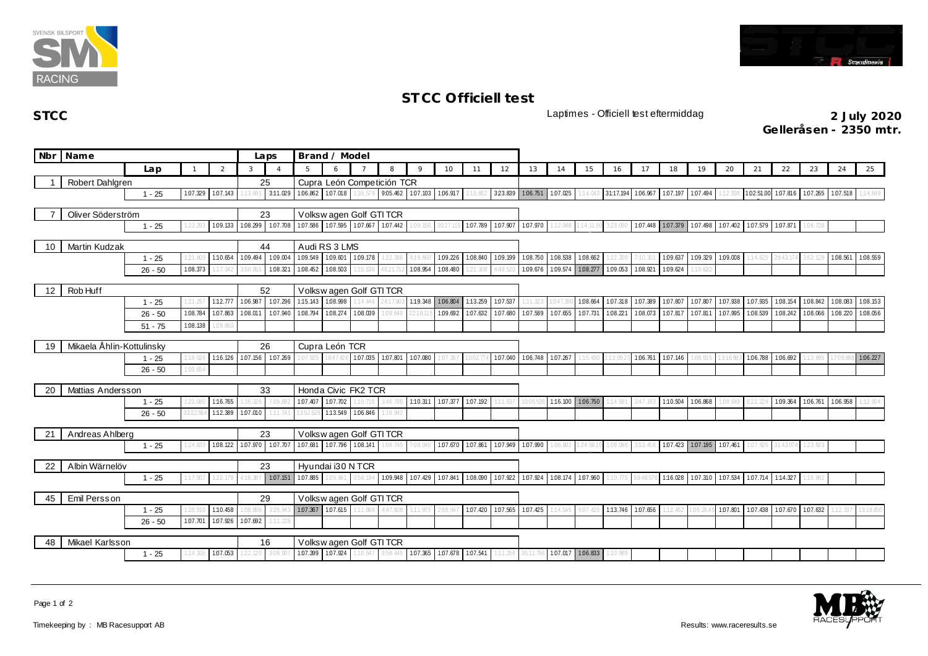



## **ST CC Officiell test**

**STCC** Laptimes - Officiell test eftermiddag **2 July 2020**

**Ge lleråsen - 2350 mtr.**

|                   | Nbr Name             |                                                               |          |          |              | Laps                 |                                                                                                                   | Brand / Model                     |                   |          |                            |                   |                            |          |                                    |            |                                                                         |          |          |                                      |                                                               |          |          |                                              |          |          |          |
|-------------------|----------------------|---------------------------------------------------------------|----------|----------|--------------|----------------------|-------------------------------------------------------------------------------------------------------------------|-----------------------------------|-------------------|----------|----------------------------|-------------------|----------------------------|----------|------------------------------------|------------|-------------------------------------------------------------------------|----------|----------|--------------------------------------|---------------------------------------------------------------|----------|----------|----------------------------------------------|----------|----------|----------|
|                   |                      | Lap                                                           |          | 2        | $\mathbf{3}$ |                      | 5                                                                                                                 | $\overline{a}$                    |                   | 8        |                            | 10                | 11                         | 12       | 13                                 | 14         | 15                                                                      | 16       | 17       | 18                                   | 19                                                            | 20       | 21       | 22                                           | 23       | 24       | 25       |
|                   | Robert Dahlgren      |                                                               |          |          |              | 25<br>3:11.029       | Cupra León Competición TCR                                                                                        |                                   |                   |          |                            |                   |                            |          |                                    |            |                                                                         |          |          |                                      |                                                               |          |          |                                              |          |          |          |
|                   |                      | 1.07.329 1.07.143<br>$1 - 25$                                 |          |          |              |                      | 1.06.862                                                                                                          | 107.018                           |                   |          | 9.05.462 1.07.103 1.06.917 |                   |                            |          | 323.839 1.06.751 1.07.025 1.14.043 |            |                                                                         |          |          | 31:17.194 1.06.967 1.07.197 1.07.494 |                                                               |          |          | 1.02:51.00 1.07.816 1.07.265 1.07.518        |          |          | 1:14.649 |
|                   | Oliver Söderström    |                                                               |          | 23       |              |                      |                                                                                                                   |                                   |                   |          |                            |                   |                            |          |                                    |            |                                                                         |          |          |                                      |                                                               |          |          |                                              |          |          |          |
|                   |                      | $1 - 25$                                                      | 23.29    | 1.09.133 |              |                      | Volkswagen Golf GTI TCR<br>108.299 107.708 107.586 107.595 107.667 107.442 109.156<br>30:27.116 1.07.789 1.07.907 |                                   |                   |          |                            |                   |                            | 1.07.970 | 1:12.848                           | 1:14:11.50 |                                                                         |          |          |                                      | 323.080 1.07.448 1.07.379 1.07.498 1.07.402 1.07.579 1.07.871 |          |          | 1:08.728                                     |          |          |          |
|                   |                      |                                                               |          |          |              |                      |                                                                                                                   |                                   |                   |          |                            |                   |                            |          |                                    |            |                                                                         |          |          |                                      |                                                               |          |          |                                              |          |          |          |
| 10                | <b>Martin Kudzak</b> |                                                               |          |          |              | 44                   |                                                                                                                   | Audi RS 3 LMS                     |                   |          |                            |                   |                            |          |                                    |            |                                                                         |          |          |                                      |                                                               |          |          |                                              |          |          |          |
|                   |                      | $1 - 25$                                                      | 1:21.809 | 1:10.654 | 1:09.494     | 1.09.004             | 1:09.549                                                                                                          | 1:09.601                          | 1.09.178          | 1:22.38  | 4:19.660                   | 1:09.226          | 1.08.840                   | 1:09.199 | 1:08.750                           | 1.08.538   | 1.08.662                                                                | 1:22.300 | 7:10.30  | 1.09.637                             | 1:09.329                                                      | 1.09.008 | 1:14.625 | 28:43.174                                    | 3:52.129 | 1.08.561 | 1:08.559 |
|                   |                      | $26 - 50$                                                     | 1:08.373 | 117.342  | 3:50.85      | 1:08.321             | 1.08.452                                                                                                          | 1:08.503                          | 15.536            | 8:21.71  | 1:08.954                   | 1.08.480          |                            | 4:49.52  | 1:09.676                           | 1.09.574   | 1.08.277 1.09.053                                                       |          | 1.08.921 | 1.09.624                             | 19.632                                                        |          |          |                                              |          |          |          |
| $12 \overline{ }$ | Rob Huff             |                                                               |          |          |              | 52                   |                                                                                                                   | Volksw agen Golf GTI TCR          |                   |          |                            |                   |                            |          |                                    |            |                                                                         |          |          |                                      |                                                               |          |          |                                              |          |          |          |
|                   |                      | $1 - 25$                                                      | 21.25    | 1:12.777 | 1.06.987     |                      | 1.07.296 1:15.143                                                                                                 | 1:08.998                          | 1:14.446          | 4:17.90  | 1:19.348                   | 1.06.804          | 1:13.259                   | 1:07.537 | :11.323                            | 0:47.39    | 1:08.664                                                                | 1.07.318 | 1.07.389 | 1.07.807                             | 1:07.807                                                      | 1.07.938 | 1:07.935 | 1:08.154                                     | 1.08.842 | 1,08.083 | 1.08.153 |
|                   |                      | $26 - 50$                                                     | 1:08.784 | 1.07.863 | 1:08.011     | 1.07.940             | 1:08.794                                                                                                          | 1:08.274                          | 1:08.039          | :09.649  | 22:18.11                   | 1:09.692          | 1.07.632                   | 1.07.680 | 1:07.589                           | 1.07.655   | 1.07.731                                                                | 1:08.221 | 1:08.073 | 1.07.817                             | 1.07.811                                                      | 1.07.995 | 1.08.539 | 1:08.242                                     | 1:08.066 | 1:08.220 | 1:08.056 |
|                   |                      | $51 - 75$                                                     | 1:08.138 | 1:09.860 |              |                      |                                                                                                                   |                                   |                   |          |                            |                   |                            |          |                                    |            |                                                                         |          |          |                                      |                                                               |          |          |                                              |          |          |          |
|                   |                      |                                                               |          |          |              | 26<br>Cupra León TCR |                                                                                                                   |                                   |                   |          |                            |                   |                            |          |                                    |            |                                                                         |          |          |                                      |                                                               |          |          |                                              |          |          |          |
| 19                |                      | Mikaela Åhlin-Kottulinsky<br>1:16.126<br>1:18.024<br>$1 - 25$ |          |          |              |                      | :07.925                                                                                                           | 8:47.42                           | 1.07.035          | 1.07.801 | 1:07.080                   | 1:07.357          |                            | 1:07.040 | 1.06.748                           | 1.07.267   | 1:15.430                                                                | :11:09.2 | 1.06.761 | 1:07.146                             | :08.91                                                        | 3:16.98  | 1:06.788 | 1.06.692                                     | :13.995  | 7:08.9   | 1.06.227 |
|                   |                      | $26 - 50$                                                     | 1:09.65  |          | 1.07.156     | 1:07.269             |                                                                                                                   |                                   |                   |          |                            |                   |                            |          |                                    |            |                                                                         |          |          |                                      |                                                               |          |          |                                              |          |          |          |
|                   |                      |                                                               |          |          |              |                      |                                                                                                                   |                                   |                   |          |                            |                   |                            |          |                                    |            |                                                                         |          |          |                                      |                                                               |          |          |                                              |          |          |          |
| 20                | Mattias Andersson    |                                                               |          |          |              | 33                   | Honda Civic FK2 TCR                                                                                               |                                   |                   |          |                            |                   |                            |          |                                    |            |                                                                         |          |          |                                      |                                                               |          |          |                                              |          |          |          |
|                   |                      | $1 - 25$                                                      | 1:22.080 | 1:16.765 | 36.326       | 7:09.89              | 1:07.407                                                                                                          | 1.07.702                          | :10.716           | 3:46.79  | 1:10.311                   | 1.07.377          | 1.07.192                   | 11.637   |                                    | 1:16.100   | 1.06.750                                                                | :14.581  | 3:47.163 | 1:10.504                             | 1:06.868                                                      | :08.648  | 6:21.224 | 1.09.364                                     | 1:06.761 | 1.06.958 | :12.904  |
|                   |                      | $26 - 50$                                                     | 3:22.55  | 1:12.389 | 1:07.010     | 1:11.74              | 3:52.52                                                                                                           | 1:13.549                          | 1.06.846          | :16.942  |                            |                   |                            |          |                                    |            |                                                                         |          |          |                                      |                                                               |          |          |                                              |          |          |          |
| 21                | Andreas Ahlberg      |                                                               |          |          |              | 23                   |                                                                                                                   | Volkswagen Golf GTI TCR           |                   |          |                            |                   |                            |          |                                    |            |                                                                         |          |          |                                      |                                                               |          |          |                                              |          |          |          |
|                   |                      | $1 - 25$                                                      | 1:24.833 | 1:08.122 | 1.07.970     | 1.07.707             |                                                                                                                   | 107.681 107.796 108.141 108.745   |                   |          | 7:08.045                   | 1.07.670 1.07.861 |                            | 1:07.949 | 1.07.990                           | 1:08.801   | 1:24:56.15                                                              | 1:09.088 | 3:53.458 | 1.07.423 1.07.195 1.07.461           |                                                               |          |          | 1:07.925 31:43.074                           | 1:23.923 |          |          |
|                   |                      |                                                               |          |          |              |                      |                                                                                                                   | Hyundai i30 N TCR                 |                   |          |                            |                   |                            |          |                                    |            |                                                                         |          |          |                                      |                                                               |          |          |                                              |          |          |          |
| 22                | Albin Wärnelöv       | $1 - 25$                                                      | 117.50   | 1:22.17  | 4:18.387     | 23<br>1.07.151       | 1.07.885                                                                                                          |                                   | 1:09.961 3:58.194 |          |                            |                   |                            |          |                                    |            | 109.948 107.429 107.841 108.090 107.922 107.924 108.174 107.960 110.775 |          | 59:48.57 |                                      |                                                               |          |          | 1:16.028 1:07.310 1:07.534 1:07.714 1:14.327 | 1:16.982 |          |          |
|                   |                      |                                                               |          |          |              |                      |                                                                                                                   |                                   |                   |          |                            |                   |                            |          |                                    |            |                                                                         |          |          |                                      |                                                               |          |          |                                              |          |          |          |
| 45                | Emil Persson         |                                                               |          |          |              | 29                   |                                                                                                                   | Volksw agen Golf GTI TCR          |                   |          |                            |                   |                            |          |                                    |            |                                                                         |          |          |                                      |                                                               |          |          |                                              |          |          |          |
|                   |                      | $1 - 25$                                                      | 1:28.91  | 1:10.458 | 1:08.898     | 3:26.94              |                                                                                                                   | 107.367 107.615 1:11.868          |                   | 4:47.608 | 1:11.975                   |                   | 2.58.947 1.07.420 1.07.565 |          | 1.07.425                           | 1:14.545   | 9:07.425 1:13.746                                                       |          | 1.07.656 | 1:12.452                             | 05:28.4                                                       | 1.07.801 |          | 1.07.438 1.07.670 1.07.632                   |          | 1:12.337 | 13:18.85 |
|                   |                      | $26 - 50$                                                     | 1:07.701 | 107.926  | 1:07.692     | 1:11.228             |                                                                                                                   |                                   |                   |          |                            |                   |                            |          |                                    |            |                                                                         |          |          |                                      |                                                               |          |          |                                              |          |          |          |
| 48                | Mikael Karlsson      |                                                               |          |          |              | 16                   | Volkswagen Golf GTI TCR                                                                                           |                                   |                   |          |                            |                   |                            |          |                                    |            |                                                                         |          |          |                                      |                                                               |          |          |                                              |          |          |          |
|                   |                      | $1 - 25$                                                      | 1:14.105 | 1.07.053 | 122.120      | 3:08.90              |                                                                                                                   | 107.399 107.924 1:10.547 9:58.445 |                   |          | 1.07.365 1.07.678 1.07.541 |                   |                            | 1:11.258 | 35:11.796                          |            | 1.07.017 1.06.833                                                       | 1:10.989 |          |                                      |                                                               |          |          |                                              |          |          |          |
|                   |                      |                                                               |          |          |              |                      |                                                                                                                   |                                   |                   |          |                            |                   |                            |          |                                    |            |                                                                         |          |          |                                      |                                                               |          |          |                                              |          |          |          |